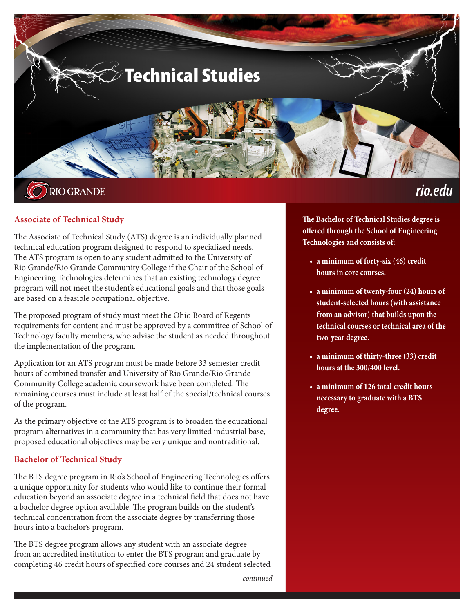

## **Associate of Technical Study**

The Associate of Technical Study (ATS) degree is an individually planned technical education program designed to respond to specialized needs. The ATS program is open to any student admitted to the University of Rio Grande/Rio Grande Community College if the Chair of the School of Engineering Technologies determines that an existing technology degree program will not meet the student's educational goals and that those goals are based on a feasible occupational objective.

The proposed program of study must meet the Ohio Board of Regents requirements for content and must be approved by a committee of School of Technology faculty members, who advise the student as needed throughout the implementation of the program.

Application for an ATS program must be made before 33 semester credit hours of combined transfer and University of Rio Grande/Rio Grande Community College academic coursework have been completed. The remaining courses must include at least half of the special/technical courses of the program.

As the primary objective of the ATS program is to broaden the educational program alternatives in a community that has very limited industrial base, proposed educational objectives may be very unique and nontraditional.

### **Bachelor of Technical Study**

The BTS degree program in Rio's School of Engineering Technologies offers a unique opportunity for students who would like to continue their formal education beyond an associate degree in a technical field that does not have a bachelor degree option available. The program builds on the student's technical concentration from the associate degree by transferring those hours into a bachelor's program.

The BTS degree program allows any student with an associate degree from an accredited institution to enter the BTS program and graduate by completing 46 credit hours of specified core courses and 24 student selected

**The Bachelor of Technical Studies degree is offered through the School of Engineering Technologies and consists of:**

- **• a minimum of forty-six (46) credit hours in core courses.**
- **• a minimum of twenty-four (24) hours of student-selected hours (with assistance from an advisor) that builds upon the technical courses or technical area of the two-year degree.**
- **• a minimum of thirty-three (33) credit hours at the 300/400 level.**
- **• a minimum of 126 total credit hours necessary to graduate with a BTS degree.**